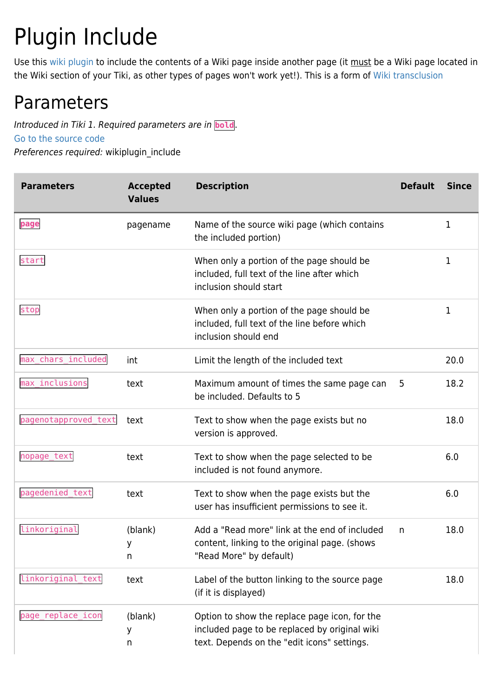# Plugin Include

Use this [wiki plugin](https://doc.tiki.org/wiki%20plugin) to include the contents of a Wiki page inside another page (it must be a Wiki page located in the Wiki section of your Tiki, as other types of pages won't work yet!). This is a form of [Wiki transclusion](http://www.google.com/search?q=wiki+transclusion)

## Parameters

Introduced in Tiki 1. Required parameters are in **bold**. [Go to the source code](https://gitlab.com/tikiwiki/tiki/-/blob/master/lib/wiki-plugins/wikiplugin_include.php)

Preferences required: wikiplugin\_include

| <b>Parameters</b>    | <b>Accepted</b><br><b>Values</b> | <b>Description</b>                                                                                                                            | <b>Default</b> | <b>Since</b> |
|----------------------|----------------------------------|-----------------------------------------------------------------------------------------------------------------------------------------------|----------------|--------------|
| page                 | pagename                         | Name of the source wiki page (which contains<br>the included portion)                                                                         |                | 1            |
| start                |                                  | When only a portion of the page should be<br>included, full text of the line after which<br>inclusion should start                            |                | 1            |
| stop                 |                                  | When only a portion of the page should be<br>included, full text of the line before which<br>inclusion should end                             |                | 1            |
| max chars included   | int                              | Limit the length of the included text                                                                                                         |                | 20.0         |
| max_inclusions       | text                             | Maximum amount of times the same page can<br>be included. Defaults to 5                                                                       | 5              | 18.2         |
| pagenotapproved_text | text                             | Text to show when the page exists but no<br>version is approved.                                                                              |                | 18.0         |
| nopage_text          | text                             | Text to show when the page selected to be<br>included is not found anymore.                                                                   |                | 6.0          |
| pagedenied_text      | text                             | Text to show when the page exists but the<br>user has insufficient permissions to see it.                                                     |                | 6.0          |
| linkoriginal         | (blank)<br>y.<br>n               | Add a "Read more" link at the end of included<br>content, linking to the original page. (shows<br>"Read More" by default)                     | n              | 18.0         |
| linkoriginal_text    | text                             | Label of the button linking to the source page<br>(if it is displayed)                                                                        |                | 18.0         |
| page_replace_icon    | (blank)<br>y<br>n                | Option to show the replace page icon, for the<br>included page to be replaced by original wiki<br>text. Depends on the "edit icons" settings. |                |              |